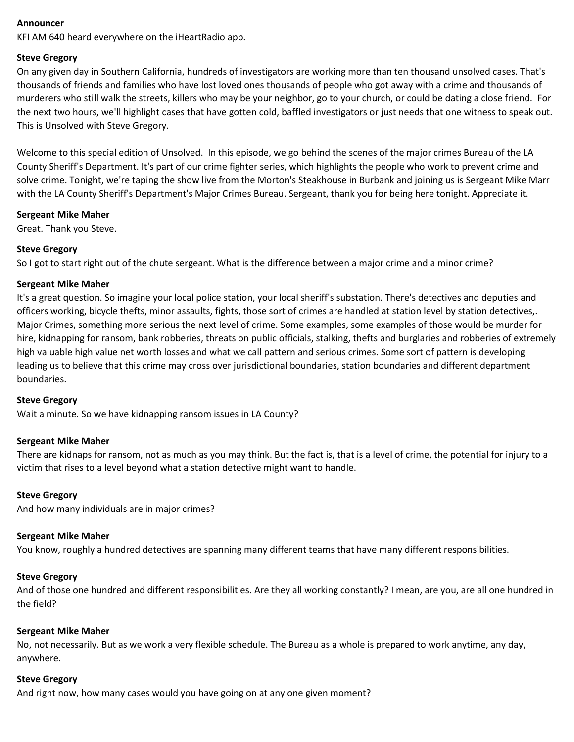#### **Announcer**

KFI AM 640 heard everywhere on the iHeartRadio app.

## **Steve Gregory**

On any given day in Southern California, hundreds of investigators are working more than ten thousand unsolved cases. That's thousands of friends and families who have lost loved ones thousands of people who got away with a crime and thousands of murderers who still walk the streets, killers who may be your neighbor, go to your church, or could be dating a close friend. For the next two hours, we'll highlight cases that have gotten cold, baffled investigators or just needs that one witness to speak out. This is Unsolved with Steve Gregory.

Welcome to this special edition of Unsolved. In this episode, we go behind the scenes of the major crimes Bureau of the LA County Sheriff's Department. It's part of our crime fighter series, which highlights the people who work to prevent crime and solve crime. Tonight, we're taping the show live from the Morton's Steakhouse in Burbank and joining us is Sergeant Mike Marr with the LA County Sheriff's Department's Major Crimes Bureau. Sergeant, thank you for being here tonight. Appreciate it.

## **Sergeant Mike Maher**

Great. Thank you Steve.

## **Steve Gregory**

So I got to start right out of the chute sergeant. What is the difference between a major crime and a minor crime?

# **Sergeant Mike Maher**

It's a great question. So imagine your local police station, your local sheriff's substation. There's detectives and deputies and officers working, bicycle thefts, minor assaults, fights, those sort of crimes are handled at station level by station detectives,. Major Crimes, something more serious the next level of crime. Some examples, some examples of those would be murder for hire, kidnapping for ransom, bank robberies, threats on public officials, stalking, thefts and burglaries and robberies of extremely high valuable high value net worth losses and what we call pattern and serious crimes. Some sort of pattern is developing leading us to believe that this crime may cross over jurisdictional boundaries, station boundaries and different department boundaries.

## **Steve Gregory**

Wait a minute. So we have kidnapping ransom issues in LA County?

## **Sergeant Mike Maher**

There are kidnaps for ransom, not as much as you may think. But the fact is, that is a level of crime, the potential for injury to a victim that rises to a level beyond what a station detective might want to handle.

## **Steve Gregory**

And how many individuals are in major crimes?

## **Sergeant Mike Maher**

You know, roughly a hundred detectives are spanning many different teams that have many different responsibilities.

## **Steve Gregory**

And of those one hundred and different responsibilities. Are they all working constantly? I mean, are you, are all one hundred in the field?

## **Sergeant Mike Maher**

No, not necessarily. But as we work a very flexible schedule. The Bureau as a whole is prepared to work anytime, any day, anywhere.

## **Steve Gregory**

And right now, how many cases would you have going on at any one given moment?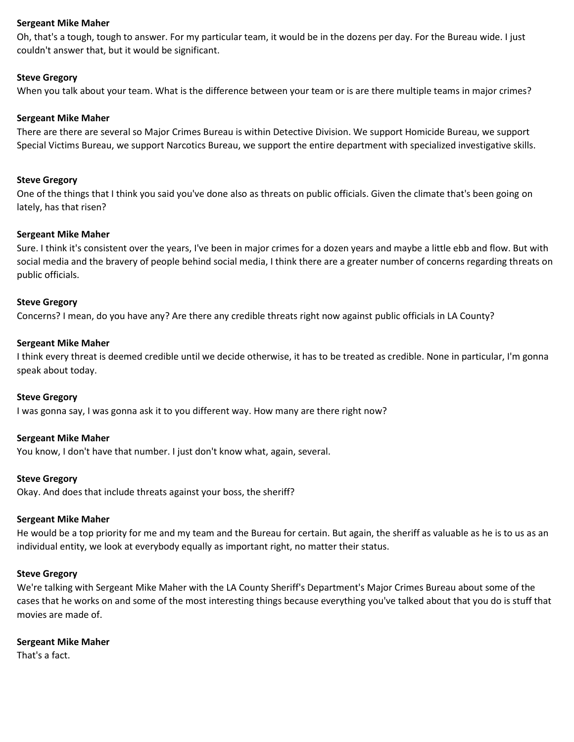Oh, that's a tough, tough to answer. For my particular team, it would be in the dozens per day. For the Bureau wide. I just couldn't answer that, but it would be significant.

#### **Steve Gregory**

When you talk about your team. What is the difference between your team or is are there multiple teams in major crimes?

#### **Sergeant Mike Maher**

There are there are several so Major Crimes Bureau is within Detective Division. We support Homicide Bureau, we support Special Victims Bureau, we support Narcotics Bureau, we support the entire department with specialized investigative skills.

#### **Steve Gregory**

One of the things that I think you said you've done also as threats on public officials. Given the climate that's been going on lately, has that risen?

#### **Sergeant Mike Maher**

Sure. I think it's consistent over the years, I've been in major crimes for a dozen years and maybe a little ebb and flow. But with social media and the bravery of people behind social media, I think there are a greater number of concerns regarding threats on public officials.

#### **Steve Gregory**

Concerns? I mean, do you have any? Are there any credible threats right now against public officials in LA County?

#### **Sergeant Mike Maher**

I think every threat is deemed credible until we decide otherwise, it has to be treated as credible. None in particular, I'm gonna speak about today.

#### **Steve Gregory**

I was gonna say, I was gonna ask it to you different way. How many are there right now?

#### **Sergeant Mike Maher**

You know, I don't have that number. I just don't know what, again, several.

#### **Steve Gregory**

Okay. And does that include threats against your boss, the sheriff?

#### **Sergeant Mike Maher**

He would be a top priority for me and my team and the Bureau for certain. But again, the sheriff as valuable as he is to us as an individual entity, we look at everybody equally as important right, no matter their status.

#### **Steve Gregory**

We're talking with Sergeant Mike Maher with the LA County Sheriff's Department's Major Crimes Bureau about some of the cases that he works on and some of the most interesting things because everything you've talked about that you do is stuff that movies are made of.

#### **Sergeant Mike Maher**

That's a fact.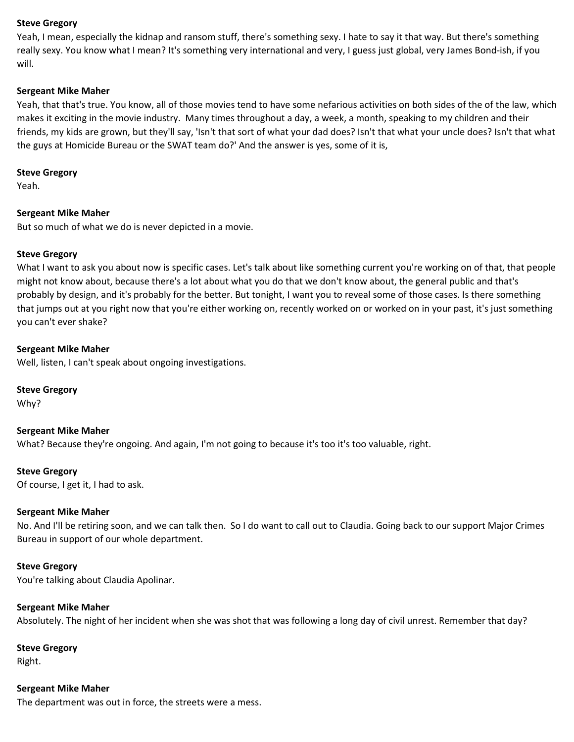Yeah, I mean, especially the kidnap and ransom stuff, there's something sexy. I hate to say it that way. But there's something really sexy. You know what I mean? It's something very international and very, I guess just global, very James Bond-ish, if you will.

#### **Sergeant Mike Maher**

Yeah, that that's true. You know, all of those movies tend to have some nefarious activities on both sides of the of the law, which makes it exciting in the movie industry. Many times throughout a day, a week, a month, speaking to my children and their friends, my kids are grown, but they'll say, 'Isn't that sort of what your dad does? Isn't that what your uncle does? Isn't that what the guys at Homicide Bureau or the SWAT team do?' And the answer is yes, some of it is,

#### **Steve Gregory**

Yeah.

#### **Sergeant Mike Maher**

But so much of what we do is never depicted in a movie.

#### **Steve Gregory**

What I want to ask you about now is specific cases. Let's talk about like something current you're working on of that, that people might not know about, because there's a lot about what you do that we don't know about, the general public and that's probably by design, and it's probably for the better. But tonight, I want you to reveal some of those cases. Is there something that jumps out at you right now that you're either working on, recently worked on or worked on in your past, it's just something you can't ever shake?

#### **Sergeant Mike Maher**

Well, listen, I can't speak about ongoing investigations.

**Steve Gregory** Why?

**Sergeant Mike Maher** What? Because they're ongoing. And again, I'm not going to because it's too it's too valuable, right.

**Steve Gregory** Of course, I get it, I had to ask.

## **Sergeant Mike Maher**

No. And I'll be retiring soon, and we can talk then. So I do want to call out to Claudia. Going back to our support Major Crimes Bureau in support of our whole department.

#### **Steve Gregory**

You're talking about Claudia Apolinar.

#### **Sergeant Mike Maher**

Absolutely. The night of her incident when she was shot that was following a long day of civil unrest. Remember that day?

#### **Steve Gregory** Right.

**Sergeant Mike Maher**

The department was out in force, the streets were a mess.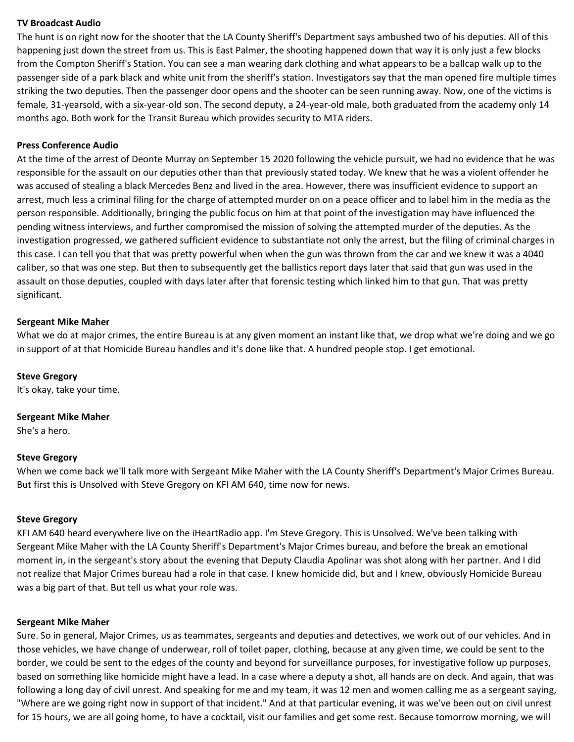## **TV Broadcast Audio**

The hunt is on right now for the shooter that the LA County Sheriff's Department says ambushed two of his deputies. All of this happening just down the street from us. This is East Palmer, the shooting happened down that way it is only just a few blocks from the Compton Sheriff's Station. You can see a man wearing dark clothing and what appears to be a ballcap walk up to the passenger side of a park black and white unit from the sheriff's station. Investigators say that the man opened fire multiple times striking the two deputies. Then the passenger door opens and the shooter can be seen running away. Now, one of the victims is female, 31-yearsold, with a six-year-old son. The second deputy, a 24-year-old male, both graduated from the academy only 14 months ago. Both work for the Transit Bureau which provides security to MTA riders.

#### **Press Conference Audio**

At the time of the arrest of Deonte Murray on September 15 2020 following the vehicle pursuit, we had no evidence that he was responsible for the assault on our deputies other than that previously stated today. We knew that he was a violent offender he was accused of stealing a black Mercedes Benz and lived in the area. However, there was insufficient evidence to support an arrest, much less a criminal filing for the charge of attempted murder on on a peace officer and to label him in the media as the person responsible. Additionally, bringing the public focus on him at that point of the investigation may have influenced the pending witness interviews, and further compromised the mission of solving the attempted murder of the deputies. As the investigation progressed, we gathered sufficient evidence to substantiate not only the arrest, but the filing of criminal charges in this case. I can tell you that that was pretty powerful when when the gun was thrown from the car and we knew it was a 4040 caliber, so that was one step. But then to subsequently get the ballistics report days later that said that gun was used in the assault on those deputies, coupled with days later after that forensic testing which linked him to that gun. That was pretty significant.

#### **Sergeant Mike Maher**

What we do at major crimes, the entire Bureau is at any given moment an instant like that, we drop what we're doing and we go in support of at that Homicide Bureau handles and it's done like that. A hundred people stop. I get emotional.

#### **Steve Gregory**

It's okay, take your time.

#### **Sergeant Mike Maher**

She's a hero.

#### **Steve Gregory**

When we come back we'll talk more with Sergeant Mike Maher with the LA County Sheriff's Department's Major Crimes Bureau. But first this is Unsolved with Steve Gregory on KFI AM 640, time now for news.

#### **Steve Gregory**

KFI AM 640 heard everywhere live on the iHeartRadio app. I'm Steve Gregory. This is Unsolved. We've been talking with Sergeant Mike Maher with the LA County Sheriff's Department's Major Crimes bureau, and before the break an emotional moment in, in the sergeant's story about the evening that Deputy Claudia Apolinar was shot along with her partner. And I did not realize that Major Crimes bureau had a role in that case. I knew homicide did, but and I knew, obviously Homicide Bureau was a big part of that. But tell us what your role was.

#### **Sergeant Mike Maher**

Sure. So in general, Major Crimes, us as teammates, sergeants and deputies and detectives, we work out of our vehicles. And in those vehicles, we have change of underwear, roll of toilet paper, clothing, because at any given time, we could be sent to the border, we could be sent to the edges of the county and beyond for surveillance purposes, for investigative follow up purposes, based on something like homicide might have a lead. In a case where a deputy a shot, all hands are on deck. And again, that was following a long day of civil unrest. And speaking for me and my team, it was 12 men and women calling me as a sergeant saying, "Where are we going right now in support of that incident." And at that particular evening, it was we've been out on civil unrest for 15 hours, we are all going home, to have a cocktail, visit our families and get some rest. Because tomorrow morning, we will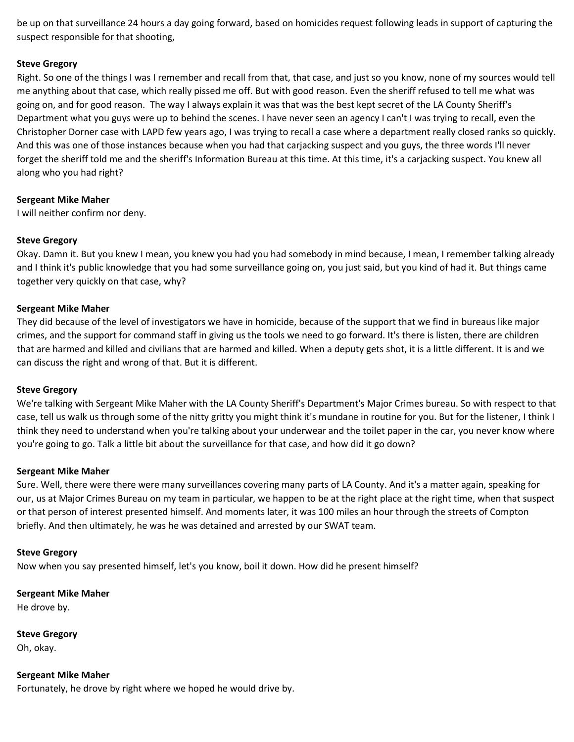be up on that surveillance 24 hours a day going forward, based on homicides request following leads in support of capturing the suspect responsible for that shooting,

## **Steve Gregory**

Right. So one of the things I was I remember and recall from that, that case, and just so you know, none of my sources would tell me anything about that case, which really pissed me off. But with good reason. Even the sheriff refused to tell me what was going on, and for good reason. The way I always explain it was that was the best kept secret of the LA County Sheriff's Department what you guys were up to behind the scenes. I have never seen an agency I can't I was trying to recall, even the Christopher Dorner case with LAPD few years ago, I was trying to recall a case where a department really closed ranks so quickly. And this was one of those instances because when you had that carjacking suspect and you guys, the three words I'll never forget the sheriff told me and the sheriff's Information Bureau at this time. At this time, it's a carjacking suspect. You knew all along who you had right?

## **Sergeant Mike Maher**

I will neither confirm nor deny.

# **Steve Gregory**

Okay. Damn it. But you knew I mean, you knew you had you had somebody in mind because, I mean, I remember talking already and I think it's public knowledge that you had some surveillance going on, you just said, but you kind of had it. But things came together very quickly on that case, why?

## **Sergeant Mike Maher**

They did because of the level of investigators we have in homicide, because of the support that we find in bureaus like major crimes, and the support for command staff in giving us the tools we need to go forward. It's there is listen, there are children that are harmed and killed and civilians that are harmed and killed. When a deputy gets shot, it is a little different. It is and we can discuss the right and wrong of that. But it is different.

## **Steve Gregory**

We're talking with Sergeant Mike Maher with the LA County Sheriff's Department's Major Crimes bureau. So with respect to that case, tell us walk us through some of the nitty gritty you might think it's mundane in routine for you. But for the listener, I think I think they need to understand when you're talking about your underwear and the toilet paper in the car, you never know where you're going to go. Talk a little bit about the surveillance for that case, and how did it go down?

## **Sergeant Mike Maher**

Sure. Well, there were there were many surveillances covering many parts of LA County. And it's a matter again, speaking for our, us at Major Crimes Bureau on my team in particular, we happen to be at the right place at the right time, when that suspect or that person of interest presented himself. And moments later, it was 100 miles an hour through the streets of Compton briefly. And then ultimately, he was he was detained and arrested by our SWAT team.

## **Steve Gregory**

Now when you say presented himself, let's you know, boil it down. How did he present himself?

**Sergeant Mike Maher**

He drove by.

**Steve Gregory** Oh, okay.

**Sergeant Mike Maher** Fortunately, he drove by right where we hoped he would drive by.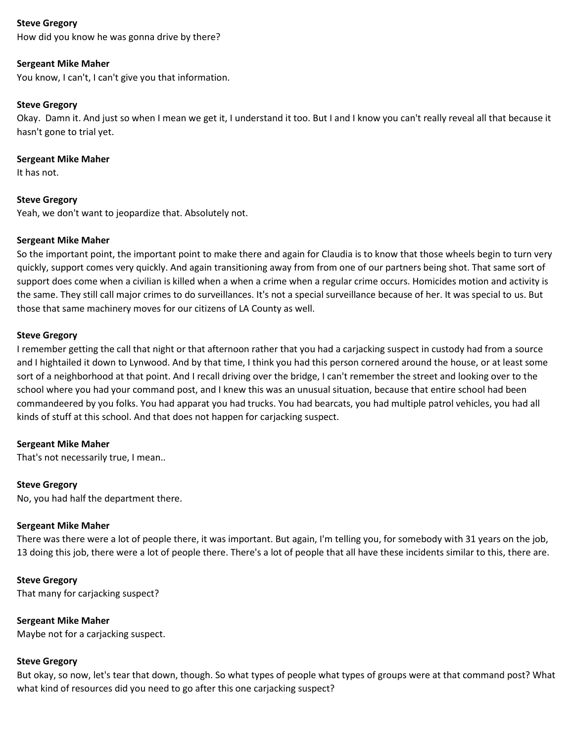How did you know he was gonna drive by there?

## **Sergeant Mike Maher**

You know, I can't, I can't give you that information.

## **Steve Gregory**

Okay. Damn it. And just so when I mean we get it, I understand it too. But I and I know you can't really reveal all that because it hasn't gone to trial yet.

## **Sergeant Mike Maher**

It has not.

## **Steve Gregory**

Yeah, we don't want to jeopardize that. Absolutely not.

#### **Sergeant Mike Maher**

So the important point, the important point to make there and again for Claudia is to know that those wheels begin to turn very quickly, support comes very quickly. And again transitioning away from from one of our partners being shot. That same sort of support does come when a civilian is killed when a when a crime when a regular crime occurs. Homicides motion and activity is the same. They still call major crimes to do surveillances. It's not a special surveillance because of her. It was special to us. But those that same machinery moves for our citizens of LA County as well.

#### **Steve Gregory**

I remember getting the call that night or that afternoon rather that you had a carjacking suspect in custody had from a source and I hightailed it down to Lynwood. And by that time, I think you had this person cornered around the house, or at least some sort of a neighborhood at that point. And I recall driving over the bridge, I can't remember the street and looking over to the school where you had your command post, and I knew this was an unusual situation, because that entire school had been commandeered by you folks. You had apparat you had trucks. You had bearcats, you had multiple patrol vehicles, you had all kinds of stuff at this school. And that does not happen for carjacking suspect.

## **Sergeant Mike Maher**

That's not necessarily true, I mean..

#### **Steve Gregory**

No, you had half the department there.

#### **Sergeant Mike Maher**

There was there were a lot of people there, it was important. But again, I'm telling you, for somebody with 31 years on the job, 13 doing this job, there were a lot of people there. There's a lot of people that all have these incidents similar to this, there are.

#### **Steve Gregory**

That many for carjacking suspect?

## **Sergeant Mike Maher**

Maybe not for a carjacking suspect.

#### **Steve Gregory**

But okay, so now, let's tear that down, though. So what types of people what types of groups were at that command post? What what kind of resources did you need to go after this one carjacking suspect?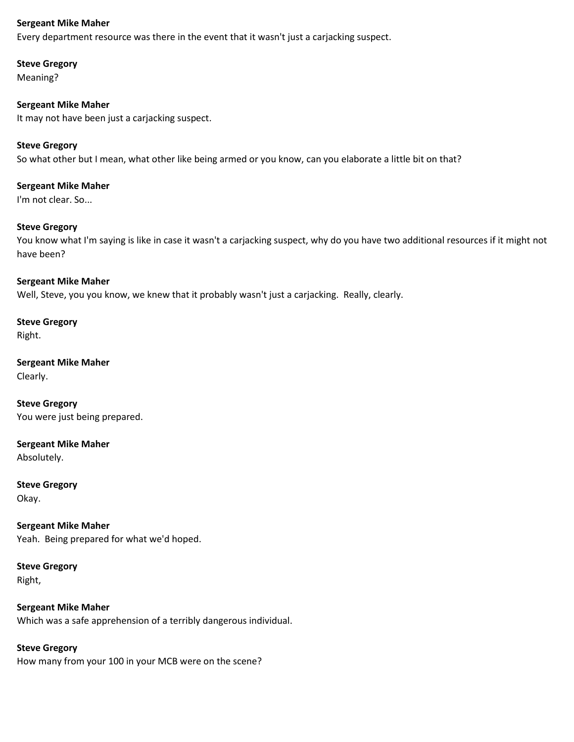Every department resource was there in the event that it wasn't just a carjacking suspect.

## **Steve Gregory**

Meaning?

# **Sergeant Mike Maher**

It may not have been just a carjacking suspect.

# **Steve Gregory**

So what other but I mean, what other like being armed or you know, can you elaborate a little bit on that?

# **Sergeant Mike Maher** I'm not clear. So...

## **Steve Gregory**

You know what I'm saying is like in case it wasn't a carjacking suspect, why do you have two additional resources if it might not have been?

#### **Sergeant Mike Maher**

Well, Steve, you you know, we knew that it probably wasn't just a carjacking. Really, clearly.

## **Steve Gregory** Right.

**Sergeant Mike Maher** Clearly.

**Steve Gregory** You were just being prepared.

# **Sergeant Mike Maher**

Absolutely.

## **Steve Gregory** Okay.

# **Sergeant Mike Maher** Yeah. Being prepared for what we'd hoped.

# **Steve Gregory** Right,

# **Sergeant Mike Maher** Which was a safe apprehension of a terribly dangerous individual.

# **Steve Gregory**

How many from your 100 in your MCB were on the scene?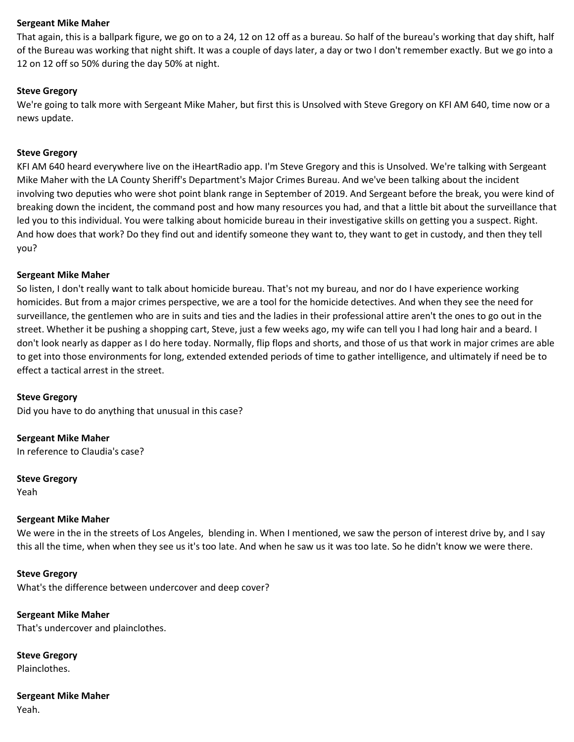That again, this is a ballpark figure, we go on to a 24, 12 on 12 off as a bureau. So half of the bureau's working that day shift, half of the Bureau was working that night shift. It was a couple of days later, a day or two I don't remember exactly. But we go into a 12 on 12 off so 50% during the day 50% at night.

#### **Steve Gregory**

We're going to talk more with Sergeant Mike Maher, but first this is Unsolved with Steve Gregory on KFI AM 640, time now or a news update.

#### **Steve Gregory**

KFI AM 640 heard everywhere live on the iHeartRadio app. I'm Steve Gregory and this is Unsolved. We're talking with Sergeant Mike Maher with the LA County Sheriff's Department's Major Crimes Bureau. And we've been talking about the incident involving two deputies who were shot point blank range in September of 2019. And Sergeant before the break, you were kind of breaking down the incident, the command post and how many resources you had, and that a little bit about the surveillance that led you to this individual. You were talking about homicide bureau in their investigative skills on getting you a suspect. Right. And how does that work? Do they find out and identify someone they want to, they want to get in custody, and then they tell you?

#### **Sergeant Mike Maher**

So listen, I don't really want to talk about homicide bureau. That's not my bureau, and nor do I have experience working homicides. But from a major crimes perspective, we are a tool for the homicide detectives. And when they see the need for surveillance, the gentlemen who are in suits and ties and the ladies in their professional attire aren't the ones to go out in the street. Whether it be pushing a shopping cart, Steve, just a few weeks ago, my wife can tell you I had long hair and a beard. I don't look nearly as dapper as I do here today. Normally, flip flops and shorts, and those of us that work in major crimes are able to get into those environments for long, extended extended periods of time to gather intelligence, and ultimately if need be to effect a tactical arrest in the street.

#### **Steve Gregory**

Did you have to do anything that unusual in this case?

**Sergeant Mike Maher** In reference to Claudia's case?

**Steve Gregory** Yeah

#### **Sergeant Mike Maher**

We were in the in the streets of Los Angeles, blending in. When I mentioned, we saw the person of interest drive by, and I say this all the time, when when they see us it's too late. And when he saw us it was too late. So he didn't know we were there.

**Steve Gregory** What's the difference between undercover and deep cover?

**Sergeant Mike Maher** That's undercover and plainclothes.

**Steve Gregory** Plainclothes.

**Sergeant Mike Maher** Yeah.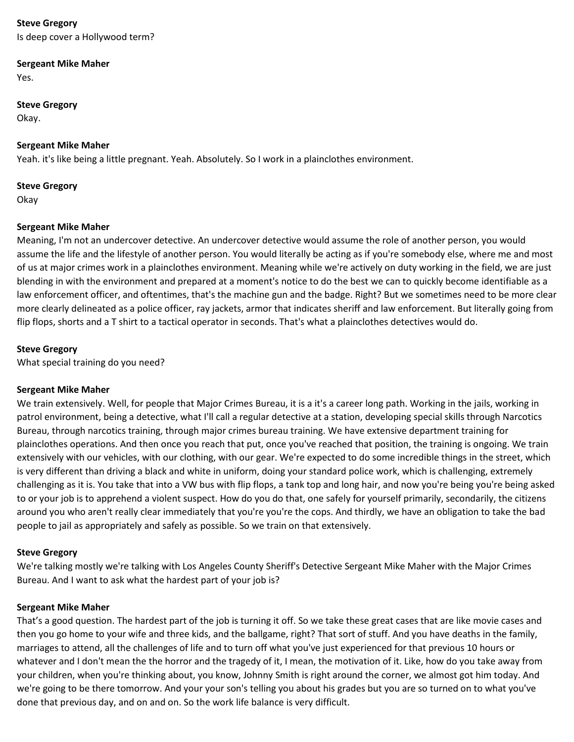Is deep cover a Hollywood term?

## **Sergeant Mike Maher**

Yes.

# **Steve Gregory**

Okay.

## **Sergeant Mike Maher**

Yeah. it's like being a little pregnant. Yeah. Absolutely. So I work in a plainclothes environment.

# **Steve Gregory**

Okay

# **Sergeant Mike Maher**

Meaning, I'm not an undercover detective. An undercover detective would assume the role of another person, you would assume the life and the lifestyle of another person. You would literally be acting as if you're somebody else, where me and most of us at major crimes work in a plainclothes environment. Meaning while we're actively on duty working in the field, we are just blending in with the environment and prepared at a moment's notice to do the best we can to quickly become identifiable as a law enforcement officer, and oftentimes, that's the machine gun and the badge. Right? But we sometimes need to be more clear more clearly delineated as a police officer, ray jackets, armor that indicates sheriff and law enforcement. But literally going from flip flops, shorts and a T shirt to a tactical operator in seconds. That's what a plainclothes detectives would do.

# **Steve Gregory**

What special training do you need?

## **Sergeant Mike Maher**

We train extensively. Well, for people that Major Crimes Bureau, it is a it's a career long path. Working in the jails, working in patrol environment, being a detective, what I'll call a regular detective at a station, developing special skills through Narcotics Bureau, through narcotics training, through major crimes bureau training. We have extensive department training for plainclothes operations. And then once you reach that put, once you've reached that position, the training is ongoing. We train extensively with our vehicles, with our clothing, with our gear. We're expected to do some incredible things in the street, which is very different than driving a black and white in uniform, doing your standard police work, which is challenging, extremely challenging as it is. You take that into a VW bus with flip flops, a tank top and long hair, and now you're being you're being asked to or your job is to apprehend a violent suspect. How do you do that, one safely for yourself primarily, secondarily, the citizens around you who aren't really clear immediately that you're you're the cops. And thirdly, we have an obligation to take the bad people to jail as appropriately and safely as possible. So we train on that extensively.

# **Steve Gregory**

We're talking mostly we're talking with Los Angeles County Sheriff's Detective Sergeant Mike Maher with the Major Crimes Bureau. And I want to ask what the hardest part of your job is?

## **Sergeant Mike Maher**

That's a good question. The hardest part of the job is turning it off. So we take these great cases that are like movie cases and then you go home to your wife and three kids, and the ballgame, right? That sort of stuff. And you have deaths in the family, marriages to attend, all the challenges of life and to turn off what you've just experienced for that previous 10 hours or whatever and I don't mean the the horror and the tragedy of it, I mean, the motivation of it. Like, how do you take away from your children, when you're thinking about, you know, Johnny Smith is right around the corner, we almost got him today. And we're going to be there tomorrow. And your your son's telling you about his grades but you are so turned on to what you've done that previous day, and on and on. So the work life balance is very difficult.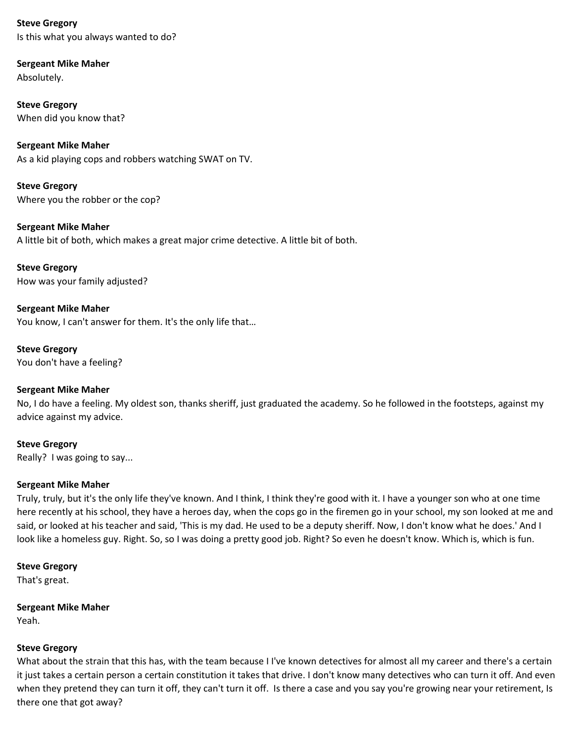**Steve Gregory** Is this what you always wanted to do?

**Sergeant Mike Maher** Absolutely.

**Steve Gregory** When did you know that?

**Sergeant Mike Maher** As a kid playing cops and robbers watching SWAT on TV.

**Steve Gregory** Where you the robber or the cop?

**Sergeant Mike Maher** A little bit of both, which makes a great major crime detective. A little bit of both.

**Steve Gregory** How was your family adjusted?

**Sergeant Mike Maher** You know, I can't answer for them. It's the only life that…

**Steve Gregory** You don't have a feeling?

# **Sergeant Mike Maher**

No, I do have a feeling. My oldest son, thanks sheriff, just graduated the academy. So he followed in the footsteps, against my advice against my advice.

**Steve Gregory** Really? I was going to say...

## **Sergeant Mike Maher**

Truly, truly, but it's the only life they've known. And I think, I think they're good with it. I have a younger son who at one time here recently at his school, they have a heroes day, when the cops go in the firemen go in your school, my son looked at me and said, or looked at his teacher and said, 'This is my dad. He used to be a deputy sheriff. Now, I don't know what he does.' And I look like a homeless guy. Right. So, so I was doing a pretty good job. Right? So even he doesn't know. Which is, which is fun.

# **Steve Gregory**

That's great.

**Sergeant Mike Maher** Yeah.

# **Steve Gregory**

What about the strain that this has, with the team because I I've known detectives for almost all my career and there's a certain it just takes a certain person a certain constitution it takes that drive. I don't know many detectives who can turn it off. And even when they pretend they can turn it off, they can't turn it off. Is there a case and you say you're growing near your retirement, Is there one that got away?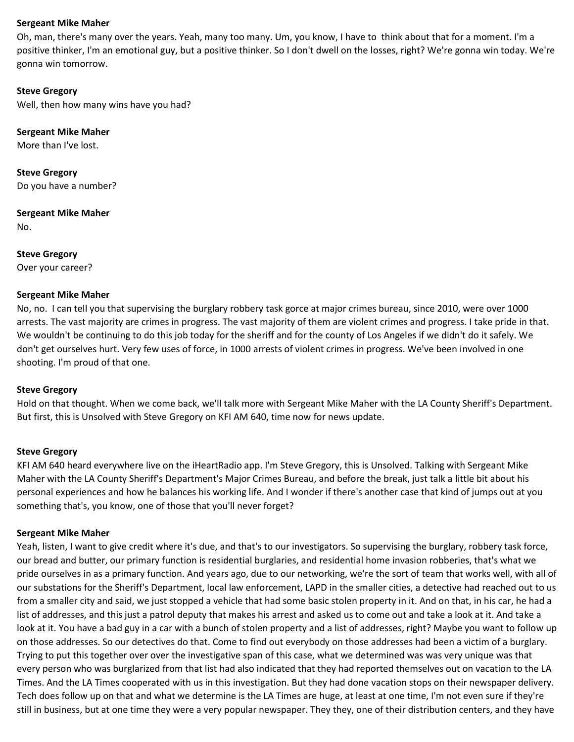Oh, man, there's many over the years. Yeah, many too many. Um, you know, I have to think about that for a moment. I'm a positive thinker, I'm an emotional guy, but a positive thinker. So I don't dwell on the losses, right? We're gonna win today. We're gonna win tomorrow.

#### **Steve Gregory**

Well, then how many wins have you had?

**Sergeant Mike Maher**

More than I've lost.

**Steve Gregory** Do you have a number?

**Sergeant Mike Maher**

No.

**Steve Gregory** Over your career?

#### **Sergeant Mike Maher**

No, no. I can tell you that supervising the burglary robbery task gorce at major crimes bureau, since 2010, were over 1000 arrests. The vast majority are crimes in progress. The vast majority of them are violent crimes and progress. I take pride in that. We wouldn't be continuing to do this job today for the sheriff and for the county of Los Angeles if we didn't do it safely. We don't get ourselves hurt. Very few uses of force, in 1000 arrests of violent crimes in progress. We've been involved in one shooting. I'm proud of that one.

## **Steve Gregory**

Hold on that thought. When we come back, we'll talk more with Sergeant Mike Maher with the LA County Sheriff's Department. But first, this is Unsolved with Steve Gregory on KFI AM 640, time now for news update.

## **Steve Gregory**

KFI AM 640 heard everywhere live on the iHeartRadio app. I'm Steve Gregory, this is Unsolved. Talking with Sergeant Mike Maher with the LA County Sheriff's Department's Major Crimes Bureau, and before the break, just talk a little bit about his personal experiences and how he balances his working life. And I wonder if there's another case that kind of jumps out at you something that's, you know, one of those that you'll never forget?

## **Sergeant Mike Maher**

Yeah, listen, I want to give credit where it's due, and that's to our investigators. So supervising the burglary, robbery task force, our bread and butter, our primary function is residential burglaries, and residential home invasion robberies, that's what we pride ourselves in as a primary function. And years ago, due to our networking, we're the sort of team that works well, with all of our substations for the Sheriff's Department, local law enforcement, LAPD in the smaller cities, a detective had reached out to us from a smaller city and said, we just stopped a vehicle that had some basic stolen property in it. And on that, in his car, he had a list of addresses, and this just a patrol deputy that makes his arrest and asked us to come out and take a look at it. And take a look at it. You have a bad guy in a car with a bunch of stolen property and a list of addresses, right? Maybe you want to follow up on those addresses. So our detectives do that. Come to find out everybody on those addresses had been a victim of a burglary. Trying to put this together over over the investigative span of this case, what we determined was was very unique was that every person who was burglarized from that list had also indicated that they had reported themselves out on vacation to the LA Times. And the LA Times cooperated with us in this investigation. But they had done vacation stops on their newspaper delivery. Tech does follow up on that and what we determine is the LA Times are huge, at least at one time, I'm not even sure if they're still in business, but at one time they were a very popular newspaper. They they, one of their distribution centers, and they have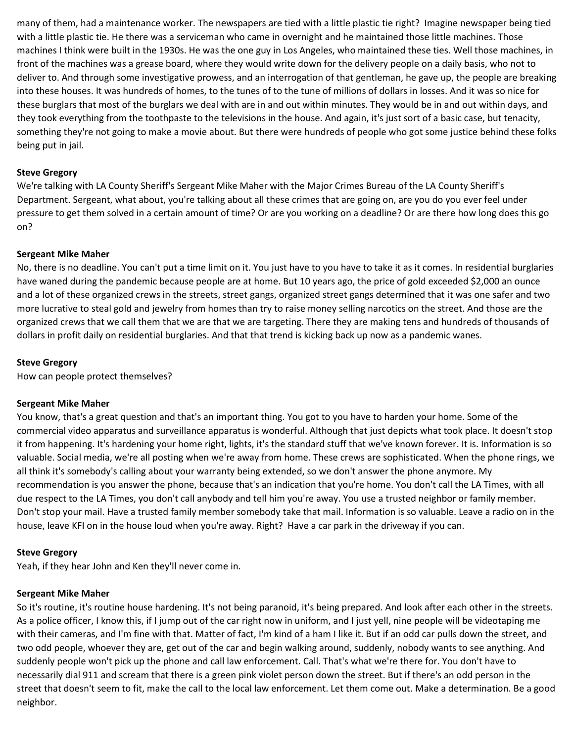many of them, had a maintenance worker. The newspapers are tied with a little plastic tie right? Imagine newspaper being tied with a little plastic tie. He there was a serviceman who came in overnight and he maintained those little machines. Those machines I think were built in the 1930s. He was the one guy in Los Angeles, who maintained these ties. Well those machines, in front of the machines was a grease board, where they would write down for the delivery people on a daily basis, who not to deliver to. And through some investigative prowess, and an interrogation of that gentleman, he gave up, the people are breaking into these houses. It was hundreds of homes, to the tunes of to the tune of millions of dollars in losses. And it was so nice for these burglars that most of the burglars we deal with are in and out within minutes. They would be in and out within days, and they took everything from the toothpaste to the televisions in the house. And again, it's just sort of a basic case, but tenacity, something they're not going to make a movie about. But there were hundreds of people who got some justice behind these folks being put in jail.

## **Steve Gregory**

We're talking with LA County Sheriff's Sergeant Mike Maher with the Major Crimes Bureau of the LA County Sheriff's Department. Sergeant, what about, you're talking about all these crimes that are going on, are you do you ever feel under pressure to get them solved in a certain amount of time? Or are you working on a deadline? Or are there how long does this go on?

## **Sergeant Mike Maher**

No, there is no deadline. You can't put a time limit on it. You just have to you have to take it as it comes. In residential burglaries have waned during the pandemic because people are at home. But 10 years ago, the price of gold exceeded \$2,000 an ounce and a lot of these organized crews in the streets, street gangs, organized street gangs determined that it was one safer and two more lucrative to steal gold and jewelry from homes than try to raise money selling narcotics on the street. And those are the organized crews that we call them that we are that we are targeting. There they are making tens and hundreds of thousands of dollars in profit daily on residential burglaries. And that that trend is kicking back up now as a pandemic wanes.

## **Steve Gregory**

How can people protect themselves?

## **Sergeant Mike Maher**

You know, that's a great question and that's an important thing. You got to you have to harden your home. Some of the commercial video apparatus and surveillance apparatus is wonderful. Although that just depicts what took place. It doesn't stop it from happening. It's hardening your home right, lights, it's the standard stuff that we've known forever. It is. Information is so valuable. Social media, we're all posting when we're away from home. These crews are sophisticated. When the phone rings, we all think it's somebody's calling about your warranty being extended, so we don't answer the phone anymore. My recommendation is you answer the phone, because that's an indication that you're home. You don't call the LA Times, with all due respect to the LA Times, you don't call anybody and tell him you're away. You use a trusted neighbor or family member. Don't stop your mail. Have a trusted family member somebody take that mail. Information is so valuable. Leave a radio on in the house, leave KFI on in the house loud when you're away. Right? Have a car park in the driveway if you can.

## **Steve Gregory**

Yeah, if they hear John and Ken they'll never come in.

## **Sergeant Mike Maher**

So it's routine, it's routine house hardening. It's not being paranoid, it's being prepared. And look after each other in the streets. As a police officer, I know this, if I jump out of the car right now in uniform, and I just yell, nine people will be videotaping me with their cameras, and I'm fine with that. Matter of fact, I'm kind of a ham I like it. But if an odd car pulls down the street, and two odd people, whoever they are, get out of the car and begin walking around, suddenly, nobody wants to see anything. And suddenly people won't pick up the phone and call law enforcement. Call. That's what we're there for. You don't have to necessarily dial 911 and scream that there is a green pink violet person down the street. But if there's an odd person in the street that doesn't seem to fit, make the call to the local law enforcement. Let them come out. Make a determination. Be a good neighbor.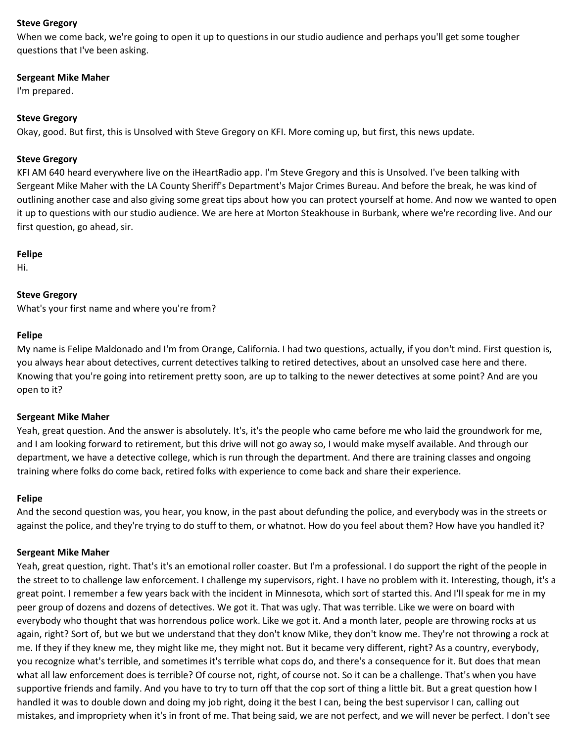When we come back, we're going to open it up to questions in our studio audience and perhaps you'll get some tougher questions that I've been asking.

#### **Sergeant Mike Maher**

I'm prepared.

## **Steve Gregory**

Okay, good. But first, this is Unsolved with Steve Gregory on KFI. More coming up, but first, this news update.

#### **Steve Gregory**

KFI AM 640 heard everywhere live on the iHeartRadio app. I'm Steve Gregory and this is Unsolved. I've been talking with Sergeant Mike Maher with the LA County Sheriff's Department's Major Crimes Bureau. And before the break, he was kind of outlining another case and also giving some great tips about how you can protect yourself at home. And now we wanted to open it up to questions with our studio audience. We are here at Morton Steakhouse in Burbank, where we're recording live. And our first question, go ahead, sir.

#### **Felipe**

Hi.

## **Steve Gregory**

What's your first name and where you're from?

#### **Felipe**

My name is Felipe Maldonado and I'm from Orange, California. I had two questions, actually, if you don't mind. First question is, you always hear about detectives, current detectives talking to retired detectives, about an unsolved case here and there. Knowing that you're going into retirement pretty soon, are up to talking to the newer detectives at some point? And are you open to it?

## **Sergeant Mike Maher**

Yeah, great question. And the answer is absolutely. It's, it's the people who came before me who laid the groundwork for me, and I am looking forward to retirement, but this drive will not go away so, I would make myself available. And through our department, we have a detective college, which is run through the department. And there are training classes and ongoing training where folks do come back, retired folks with experience to come back and share their experience.

#### **Felipe**

And the second question was, you hear, you know, in the past about defunding the police, and everybody was in the streets or against the police, and they're trying to do stuff to them, or whatnot. How do you feel about them? How have you handled it?

#### **Sergeant Mike Maher**

Yeah, great question, right. That's it's an emotional roller coaster. But I'm a professional. I do support the right of the people in the street to to challenge law enforcement. I challenge my supervisors, right. I have no problem with it. Interesting, though, it's a great point. I remember a few years back with the incident in Minnesota, which sort of started this. And I'll speak for me in my peer group of dozens and dozens of detectives. We got it. That was ugly. That was terrible. Like we were on board with everybody who thought that was horrendous police work. Like we got it. And a month later, people are throwing rocks at us again, right? Sort of, but we but we understand that they don't know Mike, they don't know me. They're not throwing a rock at me. If they if they knew me, they might like me, they might not. But it became very different, right? As a country, everybody, you recognize what's terrible, and sometimes it's terrible what cops do, and there's a consequence for it. But does that mean what all law enforcement does is terrible? Of course not, right, of course not. So it can be a challenge. That's when you have supportive friends and family. And you have to try to turn off that the cop sort of thing a little bit. But a great question how I handled it was to double down and doing my job right, doing it the best I can, being the best supervisor I can, calling out mistakes, and impropriety when it's in front of me. That being said, we are not perfect, and we will never be perfect. I don't see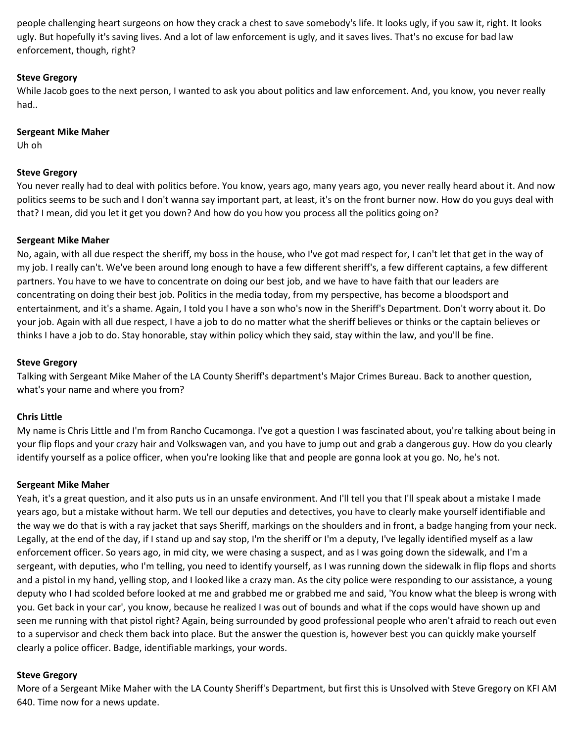people challenging heart surgeons on how they crack a chest to save somebody's life. It looks ugly, if you saw it, right. It looks ugly. But hopefully it's saving lives. And a lot of law enforcement is ugly, and it saves lives. That's no excuse for bad law enforcement, though, right?

# **Steve Gregory**

While Jacob goes to the next person, I wanted to ask you about politics and law enforcement. And, you know, you never really had..

## **Sergeant Mike Maher**

Uh oh

# **Steve Gregory**

You never really had to deal with politics before. You know, years ago, many years ago, you never really heard about it. And now politics seems to be such and I don't wanna say important part, at least, it's on the front burner now. How do you guys deal with that? I mean, did you let it get you down? And how do you how you process all the politics going on?

# **Sergeant Mike Maher**

No, again, with all due respect the sheriff, my boss in the house, who I've got mad respect for, I can't let that get in the way of my job. I really can't. We've been around long enough to have a few different sheriff's, a few different captains, a few different partners. You have to we have to concentrate on doing our best job, and we have to have faith that our leaders are concentrating on doing their best job. Politics in the media today, from my perspective, has become a bloodsport and entertainment, and it's a shame. Again, I told you I have a son who's now in the Sheriff's Department. Don't worry about it. Do your job. Again with all due respect, I have a job to do no matter what the sheriff believes or thinks or the captain believes or thinks I have a job to do. Stay honorable, stay within policy which they said, stay within the law, and you'll be fine.

# **Steve Gregory**

Talking with Sergeant Mike Maher of the LA County Sheriff's department's Major Crimes Bureau. Back to another question, what's your name and where you from?

# **Chris Little**

My name is Chris Little and I'm from Rancho Cucamonga. I've got a question I was fascinated about, you're talking about being in your flip flops and your crazy hair and Volkswagen van, and you have to jump out and grab a dangerous guy. How do you clearly identify yourself as a police officer, when you're looking like that and people are gonna look at you go. No, he's not.

## **Sergeant Mike Maher**

Yeah, it's a great question, and it also puts us in an unsafe environment. And I'll tell you that I'll speak about a mistake I made years ago, but a mistake without harm. We tell our deputies and detectives, you have to clearly make yourself identifiable and the way we do that is with a ray jacket that says Sheriff, markings on the shoulders and in front, a badge hanging from your neck. Legally, at the end of the day, if I stand up and say stop, I'm the sheriff or I'm a deputy, I've legally identified myself as a law enforcement officer. So years ago, in mid city, we were chasing a suspect, and as I was going down the sidewalk, and I'm a sergeant, with deputies, who I'm telling, you need to identify yourself, as I was running down the sidewalk in flip flops and shorts and a pistol in my hand, yelling stop, and I looked like a crazy man. As the city police were responding to our assistance, a young deputy who I had scolded before looked at me and grabbed me or grabbed me and said, 'You know what the bleep is wrong with you. Get back in your car', you know, because he realized I was out of bounds and what if the cops would have shown up and seen me running with that pistol right? Again, being surrounded by good professional people who aren't afraid to reach out even to a supervisor and check them back into place. But the answer the question is, however best you can quickly make yourself clearly a police officer. Badge, identifiable markings, your words.

## **Steve Gregory**

More of a Sergeant Mike Maher with the LA County Sheriff's Department, but first this is Unsolved with Steve Gregory on KFI AM 640. Time now for a news update.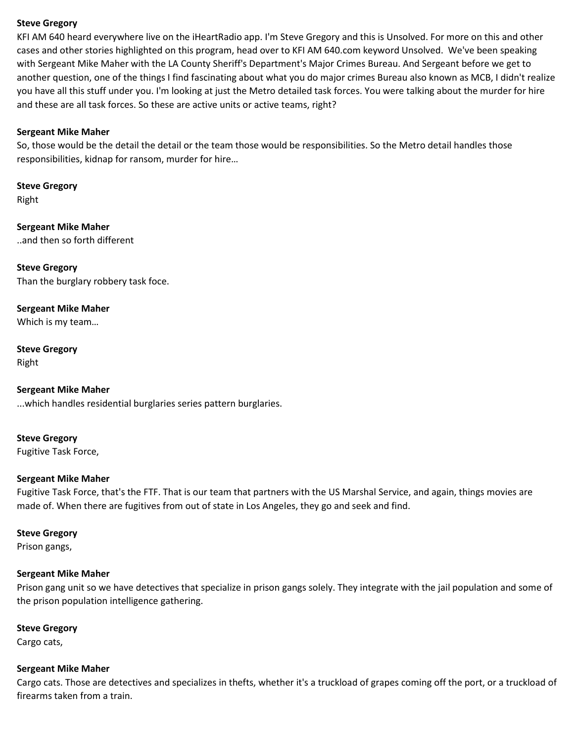KFI AM 640 heard everywhere live on the iHeartRadio app. I'm Steve Gregory and this is Unsolved. For more on this and other cases and other stories highlighted on this program, head over to KFI AM 640.com keyword Unsolved. We've been speaking with Sergeant Mike Maher with the LA County Sheriff's Department's Major Crimes Bureau. And Sergeant before we get to another question, one of the things I find fascinating about what you do major crimes Bureau also known as MCB, I didn't realize you have all this stuff under you. I'm looking at just the Metro detailed task forces. You were talking about the murder for hire and these are all task forces. So these are active units or active teams, right?

## **Sergeant Mike Maher**

So, those would be the detail the detail or the team those would be responsibilities. So the Metro detail handles those responsibilities, kidnap for ransom, murder for hire…

**Steve Gregory** Right

**Sergeant Mike Maher** ..and then so forth different

**Steve Gregory** Than the burglary robbery task foce.

**Sergeant Mike Maher** Which is my team…

**Steve Gregory** Right

**Sergeant Mike Maher** ...which handles residential burglaries series pattern burglaries.

**Steve Gregory** Fugitive Task Force,

## **Sergeant Mike Maher**

Fugitive Task Force, that's the FTF. That is our team that partners with the US Marshal Service, and again, things movies are made of. When there are fugitives from out of state in Los Angeles, they go and seek and find.

**Steve Gregory**

Prison gangs,

## **Sergeant Mike Maher**

Prison gang unit so we have detectives that specialize in prison gangs solely. They integrate with the jail population and some of the prison population intelligence gathering.

# **Steve Gregory**

Cargo cats,

## **Sergeant Mike Maher**

Cargo cats. Those are detectives and specializes in thefts, whether it's a truckload of grapes coming off the port, or a truckload of firearms taken from a train.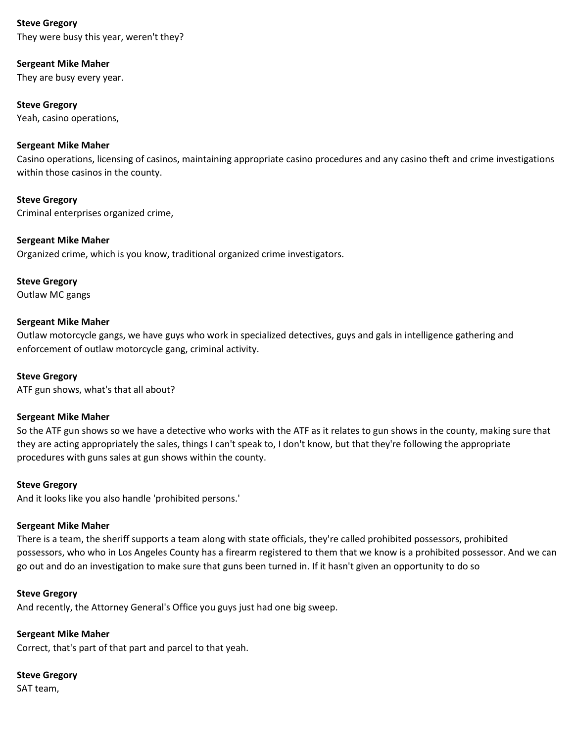They were busy this year, weren't they?

## **Sergeant Mike Maher**

They are busy every year.

# **Steve Gregory**

Yeah, casino operations,

# **Sergeant Mike Maher**

Casino operations, licensing of casinos, maintaining appropriate casino procedures and any casino theft and crime investigations within those casinos in the county.

**Steve Gregory** Criminal enterprises organized crime,

## **Sergeant Mike Maher**

Organized crime, which is you know, traditional organized crime investigators.

**Steve Gregory**

Outlaw MC gangs

# **Sergeant Mike Maher**

Outlaw motorcycle gangs, we have guys who work in specialized detectives, guys and gals in intelligence gathering and enforcement of outlaw motorcycle gang, criminal activity.

## **Steve Gregory**

ATF gun shows, what's that all about?

## **Sergeant Mike Maher**

So the ATF gun shows so we have a detective who works with the ATF as it relates to gun shows in the county, making sure that they are acting appropriately the sales, things I can't speak to, I don't know, but that they're following the appropriate procedures with guns sales at gun shows within the county.

## **Steve Gregory**

And it looks like you also handle 'prohibited persons.'

# **Sergeant Mike Maher**

There is a team, the sheriff supports a team along with state officials, they're called prohibited possessors, prohibited possessors, who who in Los Angeles County has a firearm registered to them that we know is a prohibited possessor. And we can go out and do an investigation to make sure that guns been turned in. If it hasn't given an opportunity to do so

## **Steve Gregory**

And recently, the Attorney General's Office you guys just had one big sweep.

**Sergeant Mike Maher** Correct, that's part of that part and parcel to that yeah.

**Steve Gregory**

SAT team,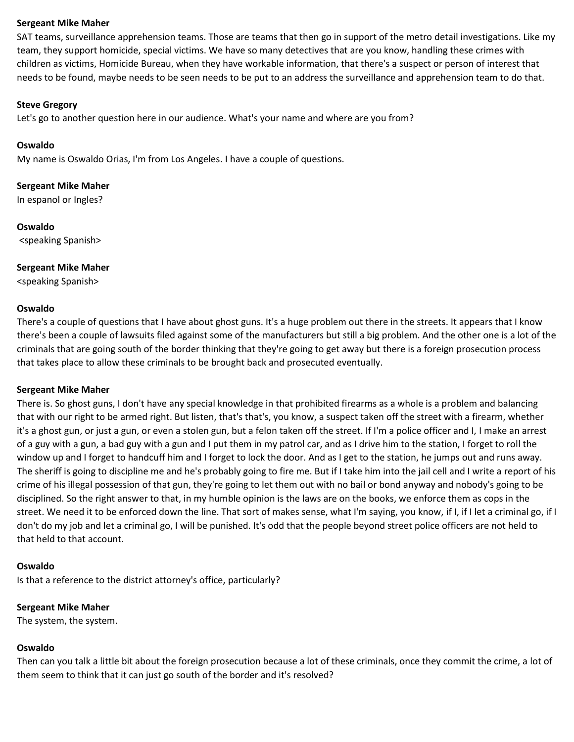SAT teams, surveillance apprehension teams. Those are teams that then go in support of the metro detail investigations. Like my team, they support homicide, special victims. We have so many detectives that are you know, handling these crimes with children as victims, Homicide Bureau, when they have workable information, that there's a suspect or person of interest that needs to be found, maybe needs to be seen needs to be put to an address the surveillance and apprehension team to do that.

#### **Steve Gregory**

Let's go to another question here in our audience. What's your name and where are you from?

#### **Oswaldo**

My name is Oswaldo Orias, I'm from Los Angeles. I have a couple of questions.

**Sergeant Mike Maher**

In espanol or Ingles?

**Oswaldo** <speaking Spanish>

**Sergeant Mike Maher** <speaking Spanish>

#### **Oswaldo**

There's a couple of questions that I have about ghost guns. It's a huge problem out there in the streets. It appears that I know there's been a couple of lawsuits filed against some of the manufacturers but still a big problem. And the other one is a lot of the criminals that are going south of the border thinking that they're going to get away but there is a foreign prosecution process that takes place to allow these criminals to be brought back and prosecuted eventually.

#### **Sergeant Mike Maher**

There is. So ghost guns, I don't have any special knowledge in that prohibited firearms as a whole is a problem and balancing that with our right to be armed right. But listen, that's that's, you know, a suspect taken off the street with a firearm, whether it's a ghost gun, or just a gun, or even a stolen gun, but a felon taken off the street. If I'm a police officer and I, I make an arrest of a guy with a gun, a bad guy with a gun and I put them in my patrol car, and as I drive him to the station, I forget to roll the window up and I forget to handcuff him and I forget to lock the door. And as I get to the station, he jumps out and runs away. The sheriff is going to discipline me and he's probably going to fire me. But if I take him into the jail cell and I write a report of his crime of his illegal possession of that gun, they're going to let them out with no bail or bond anyway and nobody's going to be disciplined. So the right answer to that, in my humble opinion is the laws are on the books, we enforce them as cops in the street. We need it to be enforced down the line. That sort of makes sense, what I'm saying, you know, if I, if I let a criminal go, if I don't do my job and let a criminal go, I will be punished. It's odd that the people beyond street police officers are not held to that held to that account.

## **Oswaldo**

Is that a reference to the district attorney's office, particularly?

# **Sergeant Mike Maher**

The system, the system.

# **Oswaldo**

Then can you talk a little bit about the foreign prosecution because a lot of these criminals, once they commit the crime, a lot of them seem to think that it can just go south of the border and it's resolved?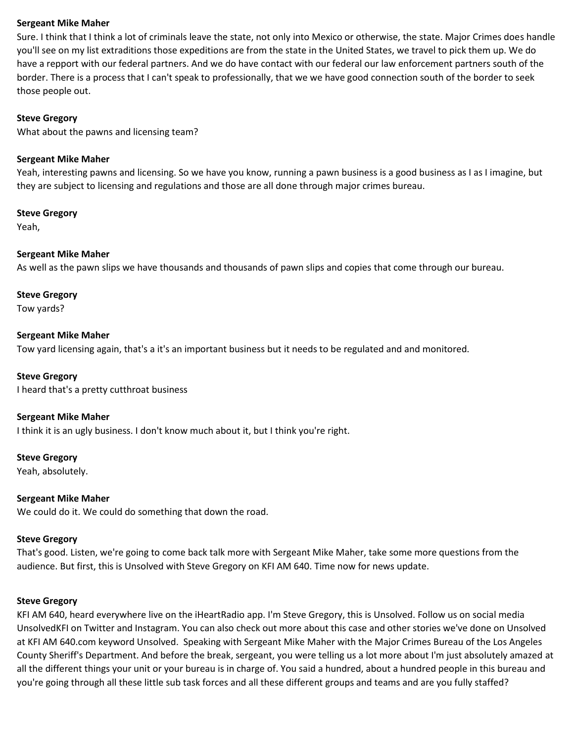Sure. I think that I think a lot of criminals leave the state, not only into Mexico or otherwise, the state. Major Crimes does handle you'll see on my list extraditions those expeditions are from the state in the United States, we travel to pick them up. We do have a repport with our federal partners. And we do have contact with our federal our law enforcement partners south of the border. There is a process that I can't speak to professionally, that we we have good connection south of the border to seek those people out.

#### **Steve Gregory**

What about the pawns and licensing team?

#### **Sergeant Mike Maher**

Yeah, interesting pawns and licensing. So we have you know, running a pawn business is a good business as I as I imagine, but they are subject to licensing and regulations and those are all done through major crimes bureau.

#### **Steve Gregory**

Yeah,

#### **Sergeant Mike Maher**

As well as the pawn slips we have thousands and thousands of pawn slips and copies that come through our bureau.

## **Steve Gregory**

Tow yards?

#### **Sergeant Mike Maher**

Tow yard licensing again, that's a it's an important business but it needs to be regulated and and monitored.

**Steve Gregory** I heard that's a pretty cutthroat business

#### **Sergeant Mike Maher**

I think it is an ugly business. I don't know much about it, but I think you're right.

## **Steve Gregory**

Yeah, absolutely.

#### **Sergeant Mike Maher**

We could do it. We could do something that down the road.

#### **Steve Gregory**

That's good. Listen, we're going to come back talk more with Sergeant Mike Maher, take some more questions from the audience. But first, this is Unsolved with Steve Gregory on KFI AM 640. Time now for news update.

#### **Steve Gregory**

KFI AM 640, heard everywhere live on the iHeartRadio app. I'm Steve Gregory, this is Unsolved. Follow us on social media UnsolvedKFI on Twitter and Instagram. You can also check out more about this case and other stories we've done on Unsolved at KFI AM 640.com keyword Unsolved. Speaking with Sergeant Mike Maher with the Major Crimes Bureau of the Los Angeles County Sheriff's Department. And before the break, sergeant, you were telling us a lot more about I'm just absolutely amazed at all the different things your unit or your bureau is in charge of. You said a hundred, about a hundred people in this bureau and you're going through all these little sub task forces and all these different groups and teams and are you fully staffed?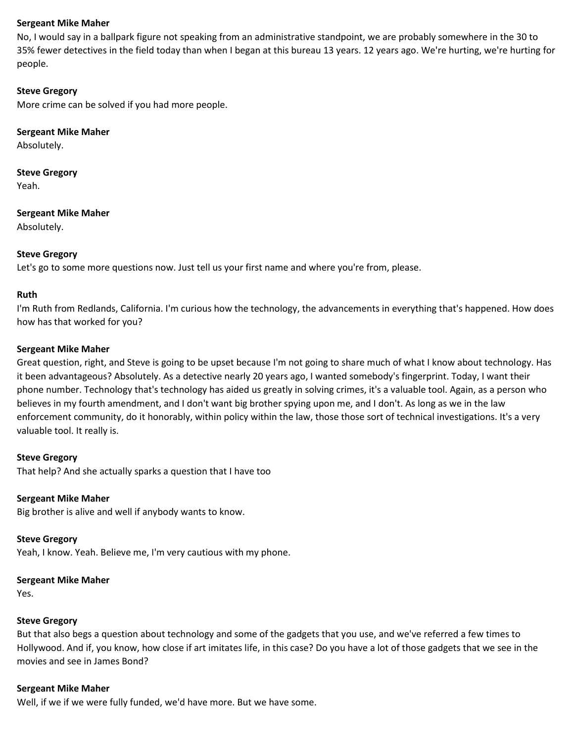No, I would say in a ballpark figure not speaking from an administrative standpoint, we are probably somewhere in the 30 to 35% fewer detectives in the field today than when I began at this bureau 13 years. 12 years ago. We're hurting, we're hurting for people.

## **Steve Gregory**

More crime can be solved if you had more people.

## **Sergeant Mike Maher**

Absolutely.

# **Steve Gregory**

Yeah.

#### **Sergeant Mike Maher**

Absolutely.

## **Steve Gregory**

Let's go to some more questions now. Just tell us your first name and where you're from, please.

## **Ruth**

I'm Ruth from Redlands, California. I'm curious how the technology, the advancements in everything that's happened. How does how has that worked for you?

## **Sergeant Mike Maher**

Great question, right, and Steve is going to be upset because I'm not going to share much of what I know about technology. Has it been advantageous? Absolutely. As a detective nearly 20 years ago, I wanted somebody's fingerprint. Today, I want their phone number. Technology that's technology has aided us greatly in solving crimes, it's a valuable tool. Again, as a person who believes in my fourth amendment, and I don't want big brother spying upon me, and I don't. As long as we in the law enforcement community, do it honorably, within policy within the law, those those sort of technical investigations. It's a very valuable tool. It really is.

## **Steve Gregory**

That help? And she actually sparks a question that I have too

## **Sergeant Mike Maher**

Big brother is alive and well if anybody wants to know.

## **Steve Gregory**

Yeah, I know. Yeah. Believe me, I'm very cautious with my phone.

#### **Sergeant Mike Maher**

Yes.

## **Steve Gregory**

But that also begs a question about technology and some of the gadgets that you use, and we've referred a few times to Hollywood. And if, you know, how close if art imitates life, in this case? Do you have a lot of those gadgets that we see in the movies and see in James Bond?

#### **Sergeant Mike Maher**

Well, if we if we were fully funded, we'd have more. But we have some.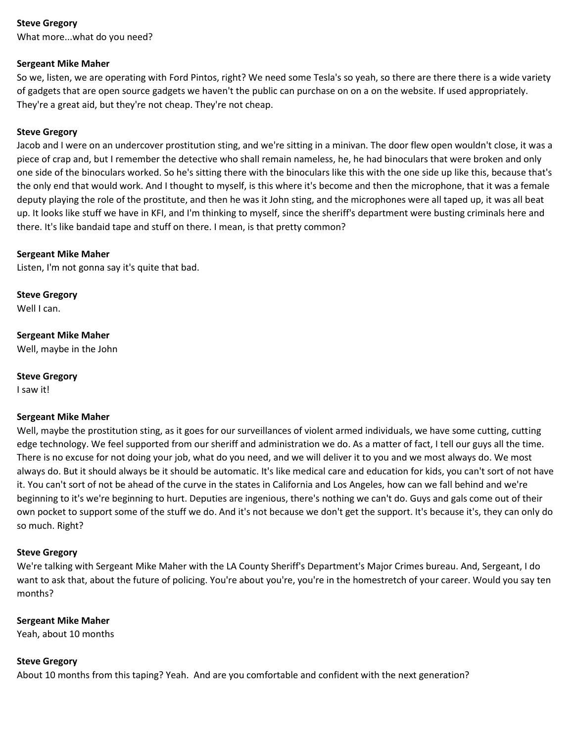What more...what do you need?

## **Sergeant Mike Maher**

So we, listen, we are operating with Ford Pintos, right? We need some Tesla's so yeah, so there are there there is a wide variety of gadgets that are open source gadgets we haven't the public can purchase on on a on the website. If used appropriately. They're a great aid, but they're not cheap. They're not cheap.

## **Steve Gregory**

Jacob and I were on an undercover prostitution sting, and we're sitting in a minivan. The door flew open wouldn't close, it was a piece of crap and, but I remember the detective who shall remain nameless, he, he had binoculars that were broken and only one side of the binoculars worked. So he's sitting there with the binoculars like this with the one side up like this, because that's the only end that would work. And I thought to myself, is this where it's become and then the microphone, that it was a female deputy playing the role of the prostitute, and then he was it John sting, and the microphones were all taped up, it was all beat up. It looks like stuff we have in KFI, and I'm thinking to myself, since the sheriff's department were busting criminals here and there. It's like bandaid tape and stuff on there. I mean, is that pretty common?

## **Sergeant Mike Maher**

Listen, I'm not gonna say it's quite that bad.

**Steve Gregory** Well I can.

**Sergeant Mike Maher** Well, maybe in the John

**Steve Gregory**

I saw it!

## **Sergeant Mike Maher**

Well, maybe the prostitution sting, as it goes for our surveillances of violent armed individuals, we have some cutting, cutting edge technology. We feel supported from our sheriff and administration we do. As a matter of fact, I tell our guys all the time. There is no excuse for not doing your job, what do you need, and we will deliver it to you and we most always do. We most always do. But it should always be it should be automatic. It's like medical care and education for kids, you can't sort of not have it. You can't sort of not be ahead of the curve in the states in California and Los Angeles, how can we fall behind and we're beginning to it's we're beginning to hurt. Deputies are ingenious, there's nothing we can't do. Guys and gals come out of their own pocket to support some of the stuff we do. And it's not because we don't get the support. It's because it's, they can only do so much. Right?

## **Steve Gregory**

We're talking with Sergeant Mike Maher with the LA County Sheriff's Department's Major Crimes bureau. And, Sergeant, I do want to ask that, about the future of policing. You're about you're, you're in the homestretch of your career. Would you say ten months?

## **Sergeant Mike Maher**

Yeah, about 10 months

## **Steve Gregory**

About 10 months from this taping? Yeah. And are you comfortable and confident with the next generation?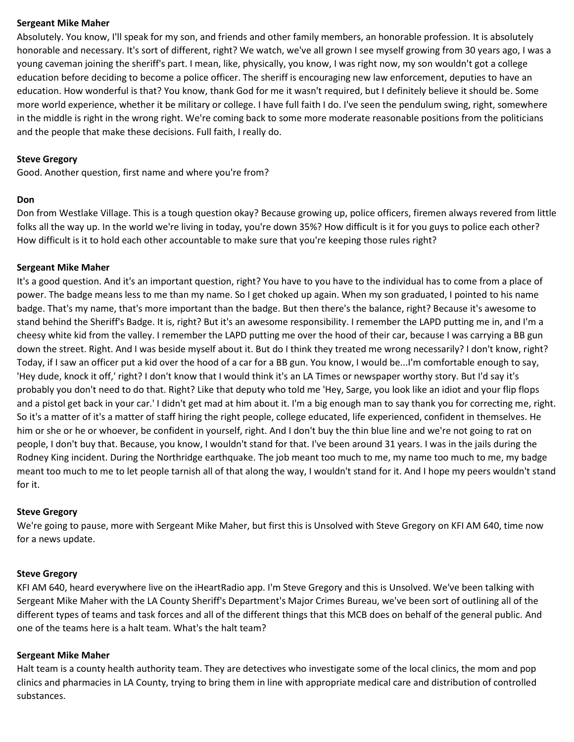Absolutely. You know, I'll speak for my son, and friends and other family members, an honorable profession. It is absolutely honorable and necessary. It's sort of different, right? We watch, we've all grown I see myself growing from 30 years ago, I was a young caveman joining the sheriff's part. I mean, like, physically, you know, I was right now, my son wouldn't got a college education before deciding to become a police officer. The sheriff is encouraging new law enforcement, deputies to have an education. How wonderful is that? You know, thank God for me it wasn't required, but I definitely believe it should be. Some more world experience, whether it be military or college. I have full faith I do. I've seen the pendulum swing, right, somewhere in the middle is right in the wrong right. We're coming back to some more moderate reasonable positions from the politicians and the people that make these decisions. Full faith, I really do.

#### **Steve Gregory**

Good. Another question, first name and where you're from?

#### **Don**

Don from Westlake Village. This is a tough question okay? Because growing up, police officers, firemen always revered from little folks all the way up. In the world we're living in today, you're down 35%? How difficult is it for you guys to police each other? How difficult is it to hold each other accountable to make sure that you're keeping those rules right?

#### **Sergeant Mike Maher**

It's a good question. And it's an important question, right? You have to you have to the individual has to come from a place of power. The badge means less to me than my name. So I get choked up again. When my son graduated, I pointed to his name badge. That's my name, that's more important than the badge. But then there's the balance, right? Because it's awesome to stand behind the Sheriff's Badge. It is, right? But it's an awesome responsibility. I remember the LAPD putting me in, and I'm a cheesy white kid from the valley. I remember the LAPD putting me over the hood of their car, because I was carrying a BB gun down the street. Right. And I was beside myself about it. But do I think they treated me wrong necessarily? I don't know, right? Today, if I saw an officer put a kid over the hood of a car for a BB gun. You know, I would be...I'm comfortable enough to say, 'Hey dude, knock it off,' right? I don't know that I would think it's an LA Times or newspaper worthy story. But I'd say it's probably you don't need to do that. Right? Like that deputy who told me 'Hey, Sarge, you look like an idiot and your flip flops and a pistol get back in your car.' I didn't get mad at him about it. I'm a big enough man to say thank you for correcting me, right. So it's a matter of it's a matter of staff hiring the right people, college educated, life experienced, confident in themselves. He him or she or he or whoever, be confident in yourself, right. And I don't buy the thin blue line and we're not going to rat on people, I don't buy that. Because, you know, I wouldn't stand for that. I've been around 31 years. I was in the jails during the Rodney King incident. During the Northridge earthquake. The job meant too much to me, my name too much to me, my badge meant too much to me to let people tarnish all of that along the way, I wouldn't stand for it. And I hope my peers wouldn't stand for it.

#### **Steve Gregory**

We're going to pause, more with Sergeant Mike Maher, but first this is Unsolved with Steve Gregory on KFI AM 640, time now for a news update.

## **Steve Gregory**

KFI AM 640, heard everywhere live on the iHeartRadio app. I'm Steve Gregory and this is Unsolved. We've been talking with Sergeant Mike Maher with the LA County Sheriff's Department's Major Crimes Bureau, we've been sort of outlining all of the different types of teams and task forces and all of the different things that this MCB does on behalf of the general public. And one of the teams here is a halt team. What's the halt team?

## **Sergeant Mike Maher**

Halt team is a county health authority team. They are detectives who investigate some of the local clinics, the mom and pop clinics and pharmacies in LA County, trying to bring them in line with appropriate medical care and distribution of controlled substances.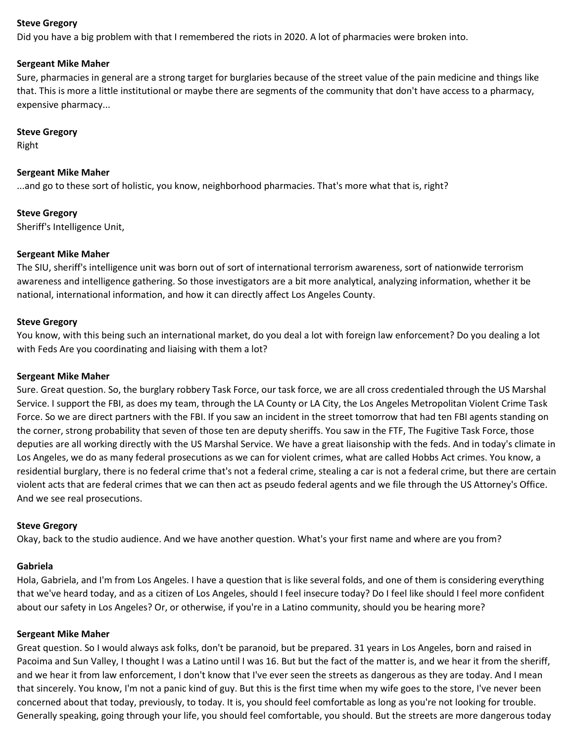Did you have a big problem with that I remembered the riots in 2020. A lot of pharmacies were broken into.

#### **Sergeant Mike Maher**

Sure, pharmacies in general are a strong target for burglaries because of the street value of the pain medicine and things like that. This is more a little institutional or maybe there are segments of the community that don't have access to a pharmacy, expensive pharmacy...

#### **Steve Gregory**

Right

## **Sergeant Mike Maher**

...and go to these sort of holistic, you know, neighborhood pharmacies. That's more what that is, right?

## **Steve Gregory**

Sheriff's Intelligence Unit,

## **Sergeant Mike Maher**

The SIU, sheriff's intelligence unit was born out of sort of international terrorism awareness, sort of nationwide terrorism awareness and intelligence gathering. So those investigators are a bit more analytical, analyzing information, whether it be national, international information, and how it can directly affect Los Angeles County.

#### **Steve Gregory**

You know, with this being such an international market, do you deal a lot with foreign law enforcement? Do you dealing a lot with Feds Are you coordinating and liaising with them a lot?

#### **Sergeant Mike Maher**

Sure. Great question. So, the burglary robbery Task Force, our task force, we are all cross credentialed through the US Marshal Service. I support the FBI, as does my team, through the LA County or LA City, the Los Angeles Metropolitan Violent Crime Task Force. So we are direct partners with the FBI. If you saw an incident in the street tomorrow that had ten FBI agents standing on the corner, strong probability that seven of those ten are deputy sheriffs. You saw in the FTF, The Fugitive Task Force, those deputies are all working directly with the US Marshal Service. We have a great liaisonship with the feds. And in today's climate in Los Angeles, we do as many federal prosecutions as we can for violent crimes, what are called Hobbs Act crimes. You know, a residential burglary, there is no federal crime that's not a federal crime, stealing a car is not a federal crime, but there are certain violent acts that are federal crimes that we can then act as pseudo federal agents and we file through the US Attorney's Office. And we see real prosecutions.

#### **Steve Gregory**

Okay, back to the studio audience. And we have another question. What's your first name and where are you from?

#### **Gabriela**

Hola, Gabriela, and I'm from Los Angeles. I have a question that is like several folds, and one of them is considering everything that we've heard today, and as a citizen of Los Angeles, should I feel insecure today? Do I feel like should I feel more confident about our safety in Los Angeles? Or, or otherwise, if you're in a Latino community, should you be hearing more?

#### **Sergeant Mike Maher**

Great question. So I would always ask folks, don't be paranoid, but be prepared. 31 years in Los Angeles, born and raised in Pacoima and Sun Valley, I thought I was a Latino until I was 16. But but the fact of the matter is, and we hear it from the sheriff, and we hear it from law enforcement, I don't know that I've ever seen the streets as dangerous as they are today. And I mean that sincerely. You know, I'm not a panic kind of guy. But this is the first time when my wife goes to the store, I've never been concerned about that today, previously, to today. It is, you should feel comfortable as long as you're not looking for trouble. Generally speaking, going through your life, you should feel comfortable, you should. But the streets are more dangerous today